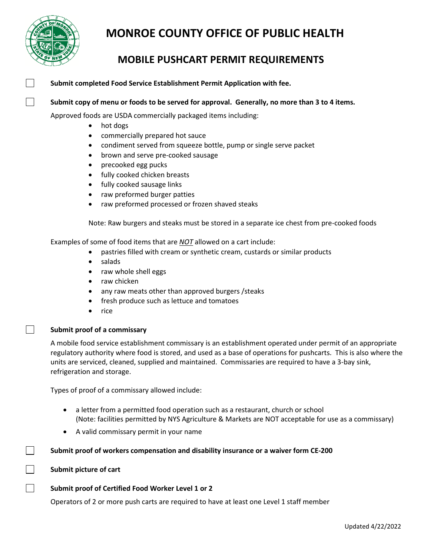

## **MONROE COUNTY OFFICE OF PUBLIC HEALTH**

### **MOBILE PUSHCART PERMIT REQUIREMENTS**

#### **Submit completed Food Service Establishment Permit Application with fee.**

**Submit copy of menu or foods to be served for approval. Generally, no more than 3 to 4 items.**

Approved foods are USDA commercially packaged items including:

- hot dogs
- commercially prepared hot sauce
- condiment served from squeeze bottle, pump or single serve packet
- brown and serve pre-cooked sausage
- precooked egg pucks
- fully cooked chicken breasts
- fully cooked sausage links
- raw preformed burger patties
- raw preformed processed or frozen shaved steaks

Note: Raw burgers and steaks must be stored in a separate ice chest from pre-cooked foods

Examples of some of food items that are *NOT* allowed on a cart include:

- pastries filled with cream or synthetic cream, custards or similar products
- salads
- raw whole shell eggs
- raw chicken
- any raw meats other than approved burgers /steaks
- fresh produce such as lettuce and tomatoes
- rice

#### **Submit proof of a commissary**

 $\mathsf{L}$ 

 $\blacksquare$ 

 $\Box$ 

A mobile food service establishment commissary is an establishment operated under permit of an appropriate regulatory authority where food is stored, and used as a base of operations for pushcarts. This is also where the units are serviced, cleaned, supplied and maintained. Commissaries are required to have a 3-bay sink, refrigeration and storage.

Types of proof of a commissary allowed include:

- a letter from a permitted food operation such as a restaurant, church or school (Note: facilities permitted by NYS Agriculture & Markets are NOT acceptable for use as a commissary)
- A valid commissary permit in your name

**Submit proof of workers compensation and disability insurance or a waiver form CE-200**

#### **Submit picture of cart**

#### **Submit proof of Certified Food Worker Level 1 or 2**

Operators of 2 or more push carts are required to have at least one Level 1 staff member